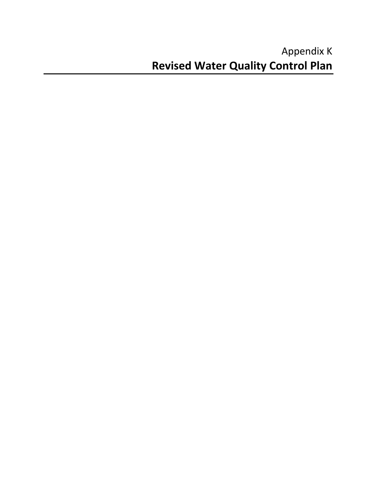# Appendix K **Revised Water Quality Control Plan**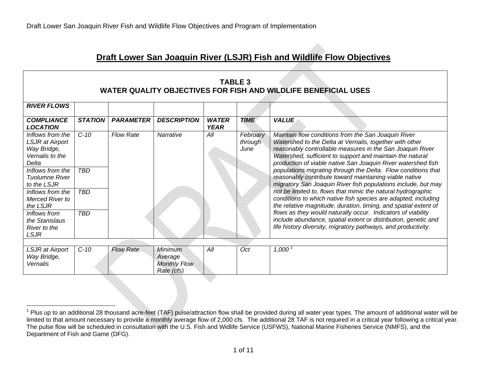# **Draft Lower San Joaquin River (LSJR) Fish and Wildlife Flow Objectives**

| TABLE 3                                                        |  |
|----------------------------------------------------------------|--|
| WATER QUALITY OBJECTIVES FOR FISH AND WILDLIFE BENEFICIAL USES |  |

| <b>RIVER FLOWS</b>                                                                                                                                                                                                                                             |                                                  |                  |                                                                |                             |                             |                                                                                                                                                                                                                                                                                                                                                                                                                                                                                                                                                                                                                                                                                                                                                                                                                                                                                                              |  |  |  |  |
|----------------------------------------------------------------------------------------------------------------------------------------------------------------------------------------------------------------------------------------------------------------|--------------------------------------------------|------------------|----------------------------------------------------------------|-----------------------------|-----------------------------|--------------------------------------------------------------------------------------------------------------------------------------------------------------------------------------------------------------------------------------------------------------------------------------------------------------------------------------------------------------------------------------------------------------------------------------------------------------------------------------------------------------------------------------------------------------------------------------------------------------------------------------------------------------------------------------------------------------------------------------------------------------------------------------------------------------------------------------------------------------------------------------------------------------|--|--|--|--|
| <b>COMPLIANCE</b><br><b>LOCATION</b>                                                                                                                                                                                                                           | <b>STATION</b>                                   | <b>PARAMETER</b> | <b>DESCRIPTION</b>                                             | <b>WATER</b><br><b>YEAR</b> | <b>TIME</b>                 | <b>VALUE</b>                                                                                                                                                                                                                                                                                                                                                                                                                                                                                                                                                                                                                                                                                                                                                                                                                                                                                                 |  |  |  |  |
| Inflows from the<br>LSJR at Airport<br>Way Bridge,<br>Vernalis to the<br>Delta<br>Inflows from the<br><b>Tuolumne River</b><br>to the LSJR<br>Inflows from the<br>Merced River to<br>the LSJR<br>Inflows from<br>the Stanislaus<br>River to the<br><b>LSJR</b> | $C-10$<br><b>TBD</b><br><b>TBD</b><br><b>TBD</b> | <b>Flow Rate</b> | <b>Narrative</b>                                               | All                         | February<br>through<br>June | Maintain flow conditions from the San Joaquin River<br>Watershed to the Delta at Vernalis, together with other<br>reasonably controllable measures in the San Joaquin River<br>Watershed, sufficient to support and maintain the natural<br>production of viable native San Joaquin River watershed fish<br>populations migrating through the Delta. Flow conditions that<br>reasonably contribute toward maintaining viable native<br>migratory San Joaquin River fish populations include, but may<br>not be limited to, flows that mimic the natural hydrographic<br>conditions to which native fish species are adapted, including<br>the relative magnitude, duration, timing, and spatial extent of<br>flows as they would naturally occur. Indicators of viability<br>include abundance, spatial extent or distribution, genetic and<br>life history diversity, migratory pathways, and productivity. |  |  |  |  |
|                                                                                                                                                                                                                                                                |                                                  |                  |                                                                |                             |                             |                                                                                                                                                                                                                                                                                                                                                                                                                                                                                                                                                                                                                                                                                                                                                                                                                                                                                                              |  |  |  |  |
| LSJR at Airport<br>Way Bridge,<br>Vernalis                                                                                                                                                                                                                     | $C-10$                                           | <b>Flow Rate</b> | <b>Minimum</b><br>Average<br><b>Monthly Flow</b><br>Rate (cfs) | All                         | Oct                         | 1,000                                                                                                                                                                                                                                                                                                                                                                                                                                                                                                                                                                                                                                                                                                                                                                                                                                                                                                        |  |  |  |  |

 $^1$  Plus up to an additional 28 thousand acre-feet (TAF) pulse/attraction flow shall be provided during all water year types. The amount of additional water will be limited to that amount necessary to provide a monthly average flow of 2,000 cfs. The additional 28 TAF is not required in a critical year following a critical year. The pulse flow will be scheduled in consultation with the U.S. Fish and Widlife Service (USFWS), National Marine Fisheries Service (NMFS), and the Department of Fish and Game (DFG).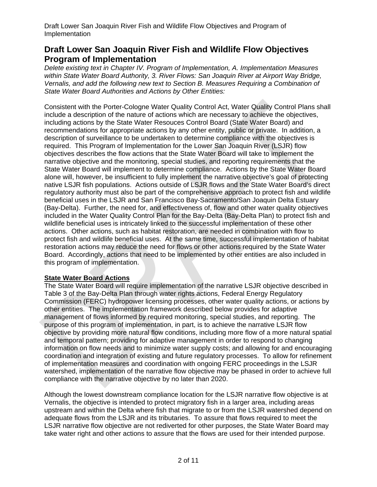# **Draft Lower San Joaquin River Fish and Wildlife Flow Objectives Program of Implementation**

*Delete existing text in Chapter IV. Program of Implementation, A. Implementation Measures within State Water Board Authority, 3. River Flows: San Joaquin River at Airport Way Bridge, Vernalis, and add the following new text to Section B. Measures Requiring a Combination of State Water Board Authorities and Actions by Other Entities:* 

Consistent with the Porter-Cologne Water Quality Control Act, Water Quality Control Plans shall include a description of the nature of actions which are necessary to achieve the objectives, including actions by the State Water Resouces Control Board (State Water Board) and recommendations for appropriate actions by any other entity, public or private. In addition, a description of surveillance to be undertaken to determine compliance with the objectives is required. This Program of Implementation for the Lower San Joaquin River (LSJR) flow objectives describes the flow actions that the State Water Board will take to implement the narrative objective and the monitoring, special studies, and reporting requirements that the State Water Board will implement to determine compliance. Actions by the State Water Board alone will, however, be insufficient to fully implement the narrative objective's goal of protecting native LSJR fish populations. Actions outside of LSJR flows and the State Water Board's direct regulatory authority must also be part of the comprehensive approach to protect fish and wildlife beneficial uses in the LSJR and San Francisco Bay-Sacramento/San Joaquin Delta Estuary (Bay-Delta). Further, the need for, and effectiveness of, flow and other water quality objectives included in the Water Quality Control Plan for the Bay-Delta (Bay-Delta Plan) to protect fish and wildlife beneficial uses is intricately linked to the successful implementation of these other actions. Other actions, such as habitat restoration, are needed in combination with flow to protect fish and wildlife beneficial uses. At the same time, successful implementation of habitat restoration actions may reduce the need for flows or other actions required by the State Water Board. Accordingly, actions that need to be implemented by other entities are also included in this program of implementation.

# **State Water Board Actions**

The State Water Board will require implementation of the narrative LSJR objective described in Table 3 of the Bay-Delta Plan through water rights actions, Federal Energy Regulatory Commission (FERC) hydropower licensing processes, other water quality actions, or actions by other entities. The implementation framework described below provides for adaptive management of flows informed by required monitoring, special studies, and reporting. The purpose of this program of implementation, in part, is to achieve the narrative LSJR flow objective by providing more natural flow conditions, including more flow of a more natural spatial and temporal pattern; providing for adaptive management in order to respond to changing information on flow needs and to minimize water supply costs; and allowing for and encouraging coordination and integration of existing and future regulatory processes. To allow for refinement of implementation measures and coordination with ongoing FERC proceedings in the LSJR watershed, implementation of the narrative flow objective may be phased in order to achieve full compliance with the narrative objective by no later than 2020.

Although the lowest downstream compliance location for the LSJR narrative flow objective is at Vernalis, the objective is intended to protect migratory fish in a larger area, including areas upstream and within the Delta where fish that migrate to or from the LSJR watershed depend on adequate flows from the LSJR and its tributaries. To assure that flows required to meet the LSJR narrative flow objective are not rediverted for other purposes, the State Water Board may take water right and other actions to assure that the flows are used for their intended purpose.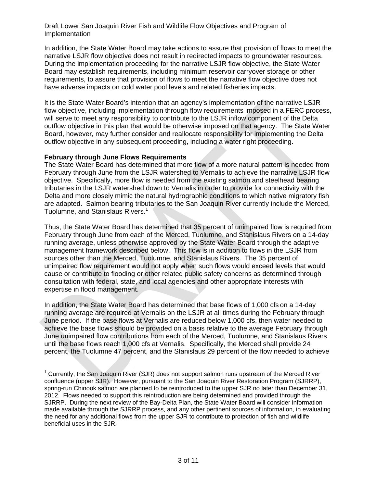In addition, the State Water Board may take actions to assure that provision of flows to meet the narrative LSJR flow objective does not result in redirected impacts to groundwater resources. During the implementation proceeding for the narrative LSJR flow objective, the State Water Board may establish requirements, including minimum reservoir carryover storage or other requirements, to assure that provision of flows to meet the narrative flow objective does not have adverse impacts on cold water pool levels and related fisheries impacts.

It is the State Water Board's intention that an agency's implementation of the narrative LSJR flow objective, including implementation through flow requirements imposed in a FERC process, will serve to meet any responsibility to contribute to the LSJR inflow component of the Delta outflow objective in this plan that would be otherwise imposed on that agency. The State Water Board, however, may further consider and reallocate responsibility for implementing the Delta outflow objective in any subsequent proceeding, including a water right proceeding.

# **February through June Flows Requirements**

 $\overline{a}$ 

The State Water Board has determined that more flow of a more natural pattern is needed from February through June from the LSJR watershed to Vernalis to achieve the narrative LSJR flow objective. Specifically, more flow is needed from the existing salmon and steelhead bearing tributaries in the LSJR watershed down to Vernalis in order to provide for connectivity with the Delta and more closely mimic the natural hydrographic conditions to which native migratory fish are adapted. Salmon bearing tributaries to the San Joaquin River currently include the Merced, Tuolumne, and Stanislaus Rivers.<sup>1</sup>

Thus, the State Water Board has determined that 35 percent of unimpaired flow is required from February through June from each of the Merced, Tuolumne, and Stanislaus Rivers on a 14-day running average, unless otherwise approved by the State Water Board through the adaptive management framework described below. This flow is in addition to flows in the LSJR from sources other than the Merced, Tuolumne, and Stanislaus Rivers. The 35 percent of unimpaired flow requirement would not apply when such flows would exceed levels that would cause or contribute to flooding or other related public safety concerns as determined through consultation with federal, state, and local agencies and other appropriate interests with expertise in flood management.

In addition, the State Water Board has determined that base flows of 1,000 cfs on a 14-day running average are required at Vernalis on the LSJR at all times during the February through June period. If the base flows at Vernalis are reduced below 1,000 cfs, then water needed to achieve the base flows should be provided on a basis relative to the average February through June unimpaired flow contributions from each of the Merced, Tuolumne, and Stanislaus Rivers until the base flows reach 1,000 cfs at Vernalis. Specifically, the Merced shall provide 24 percent, the Tuolumne 47 percent, and the Stanislaus 29 percent of the flow needed to achieve

 $1$  Currently, the San Joaquin River (SJR) does not support salmon runs upstream of the Merced River confluence (upper SJR). However, pursuant to the San Joaquin River Restoration Program (SJRRP), spring-run Chinook salmon are planned to be reintroduced to the upper SJR no later than December 31, 2012. Flows needed to support this reintroduction are being determined and provided through the SJRRP. During the next review of the Bay-Delta Plan, the State Water Board will consider information made available through the SJRRP process, and any other pertinent sources of information, in evaluating the need for any additional flows from the upper SJR to contribute to protection of fish and wildlife beneficial uses in the SJR.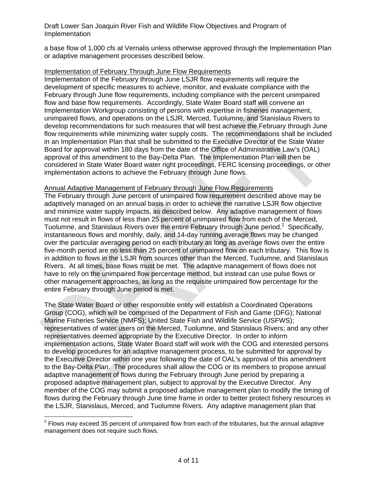a base flow of 1,000 cfs at Vernalis unless otherwise approved through the Implementation Plan or adaptive management processes described below.

# Implementation of February Through June Flow Requirements

Implementation of the February through June LSJR flow requirements will require the development of specific measures to achieve, monitor, and evaluate compliance with the February through June flow requirements, including compliance with the percent unimpaired flow and base flow requirements. Accordingly, State Water Board staff will convene an Implementation Workgroup consisting of persons with expertise in fisheries management, unimpaired flows, and operations on the LSJR, Merced, Tuolumne, and Stanislaus Rivers to develop recommendations for such measures that will best achieve the February through June flow requirements while minimizing water supply costs. The recommendations shall be included in an Implementation Plan that shall be submitted to the Executive Director of the State Water Board for approval within 180 days from the date of the Office of Administrative Law's (OAL) approval of this amendment to the Bay-Delta Plan. The Implementation Plan will then be considered in State Water Board water right proceedings, FERC licensing proceedings, or other implementation actions to achieve the February through June flows.

# Annual Adaptive Management of February through June Flow Requirements

The February through June percent of unimpaired flow requirement described above may be adaptively managed on an annual basis in order to achieve the narrative LSJR flow objective and minimize water supply impacts, as described below. Any adaptive management of flows must not result in flows of less than 25 percent of unimpaired flow from each of the Merced, Tuolumne, and Stanislaus Rivers over the entire February through June period.<sup>2</sup> Specifically, instantaneous flows and monthly, daily, and 14-day running average flows may be changed over the particular averaging period on each tributary as long as average flows over the entire five-month period are no less than 25 percent of unimpaired flow on each tributary. This flow is in addition to flows in the LSJR from sources other than the Merced, Tuolumne, and Stanislaus Rivers. At all times, base flows must be met. The adaptive management of flows does not have to rely on the unimpaired flow percentage method, but instead can use pulse flows or other management approaches, as long as the requisite unimpaired flow percentage for the entire February through June period is met.

The State Water Board or other responsible entity will establish a Coordinated Operations Group (COG), which will be comprised of the Department of Fish and Game (DFG); National Marine Fisheries Service (NMFS); United State Fish and Wildlife Service (USFWS); representatives of water users on the Merced, Tuolumne, and Stanislaus Rivers; and any other representatives deemed appropriate by the Executive Director. In order to inform implementation actions, State Water Board staff will work with the COG and interested persons to develop procedures for an adaptive management process, to be submitted for approval by the Executive Director within one year following the date of OAL's approval of this amendment to the Bay-Delta Plan. The procedures shall allow the COG or its members to propose annual adaptive management of flows during the February through June period by preparing a proposed adaptive management plan, subject to approval by the Executive Director. Any member of the COG may submit a proposed adaptive management plan to modify the timing of flows during the February through June time frame in order to better protect fishery resources in the LSJR, Stanislaus, Merced, and Tuolumne Rivers. Any adaptive management plan that

 $\overline{a}$ 

 $2$  Flows may exceed 35 percent of unimpaired flow from each of the tributaries, but the annual adaptive management does not require such flows.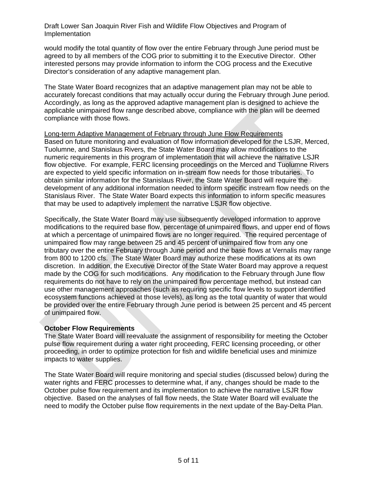would modify the total quantity of flow over the entire February through June period must be agreed to by all members of the COG prior to submitting it to the Executive Director. Other interested persons may provide information to inform the COG process and the Executive Director's consideration of any adaptive management plan.

The State Water Board recognizes that an adaptive management plan may not be able to accurately forecast conditions that may actually occur during the February through June period. Accordingly, as long as the approved adaptive management plan is designed to achieve the applicable unimpaired flow range described above, compliance with the plan will be deemed compliance with those flows.

# Long-term Adaptive Management of February through June Flow Requirements

Based on future monitoring and evaluation of flow information developed for the LSJR, Merced, Tuolumne, and Stanislaus Rivers, the State Water Board may allow modifications to the numeric requirements in this program of implementation that will achieve the narrative LSJR flow objective. For example, FERC licensing proceedings on the Merced and Tuolumne Rivers are expected to yield specific information on in-stream flow needs for those tributaries. To obtain similar information for the Stanislaus River, the State Water Board will require the development of any additional information needed to inform specific instream flow needs on the Stanislaus River. The State Water Board expects this information to inform specific measures that may be used to adaptively implement the narrative LSJR flow objective.

Specifically, the State Water Board may use subsequently developed information to approve modifications to the required base flow, percentage of unimpaired flows, and upper end of flows at which a percentage of unimpaired flows are no longer required. The required percentage of unimpaired flow may range between 25 and 45 percent of unimpaired flow from any one tributary over the entire February through June period and the base flows at Vernalis may range from 800 to 1200 cfs. The State Water Board may authorize these modifications at its own discretion. In addition, the Executive Director of the State Water Board may approve a request made by the COG for such modifications. Any modification to the February through June flow requirements do not have to rely on the unimpaired flow percentage method, but instead can use other management approaches (such as requiring specific flow levels to support identified ecosystem functions achieved at those levels), as long as the total quantity of water that would be provided over the entire February through June period is between 25 percent and 45 percent of unimpaired flow.

# **October Flow Requirements**

The State Water Board will reevaluate the assignment of responsibility for meeting the October pulse flow requirement during a water right proceeding, FERC licensing proceeding, or other proceeding, in order to optimize protection for fish and wildlife beneficial uses and minimize impacts to water supplies.

The State Water Board will require monitoring and special studies (discussed below) during the water rights and FERC processes to determine what, if any, changes should be made to the October pulse flow requirement and its implementation to achieve the narrative LSJR flow objective. Based on the analyses of fall flow needs, the State Water Board will evaluate the need to modify the October pulse flow requirements in the next update of the Bay-Delta Plan.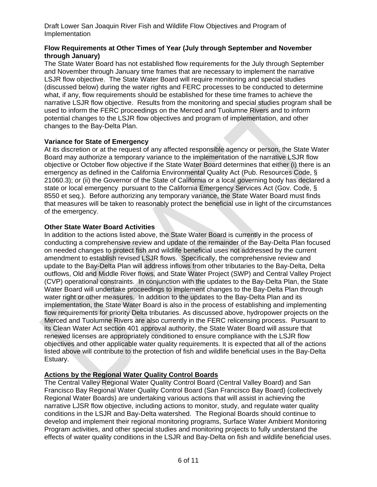# **Flow Requirements at Other Times of Year (July through September and November through January)**

The State Water Board has not established flow requirements for the July through September and November through January time frames that are necessary to implement the narrative LSJR flow objective. The State Water Board will require monitoring and special studies (discussed below) during the water rights and FERC processes to be conducted to determine what, if any, flow requirements should be established for these time frames to achieve the narrative LSJR flow objective. Results from the monitoring and special studies program shall be used to inform the FERC proceedings on the Merced and Tuolumne Rivers and to inform potential changes to the LSJR flow objectives and program of implementation, and other changes to the Bay-Delta Plan.

# **Variance for State of Emergency**

At its discretion or at the request of any affected responsible agency or person, the State Water Board may authorize a temporary variance to the implementation of the narrative LSJR flow objective or October flow objective if the State Water Board determines that either (i) there is an emergency as defined in the California Environmental Quality Act (Pub. Resources Code, § 21060.3); or (ii) the Governor of the State of California or a local governing body has declared a state or local emergency pursuant to the California Emergency Services Act (Gov. Code, § 8550 et seq.). Before authorizing any temporary variance, the State Water Board must finds that measures will be taken to reasonably protect the beneficial use in light of the circumstances of the emergency.

# **Other State Water Board Activities**

In addition to the actions listed above, the State Water Board is currently in the process of conducting a comprehensive review and update of the remainder of the Bay-Delta Plan focused on needed changes to protect fish and wildlife beneficial uses not addressed by the current amendment to establish revised LSJR flows. Specifically, the comprehensive review and update to the Bay-Delta Plan will address inflows from other tributaries to the Bay-Delta, Delta outflows, Old and Middle River flows, and State Water Project (SWP) and Central Valley Project (CVP) operational constraints. In conjunction with the updates to the Bay-Delta Plan, the State Water Board will undertake proceedings to implement changes to the Bay-Delta Plan through water right or other measures. In addition to the updates to the Bay-Delta Plan and its implementation, the State Water Board is also in the process of establishing and implementing flow requirements for priority Delta tributaries. As discussed above, hydropower projects on the Merced and Tuolumne Rivers are also currently in the FERC relicensing process. Pursuant to its Clean Water Act section 401 approval authority, the State Water Board will assure that renewed licenses are appropriately conditioned to ensure compliance with the LSJR flow objectives and other applicable water quality requirements. It is expected that all of the actions listed above will contribute to the protection of fish and wildlife beneficial uses in the Bay-Delta Estuary.

# **Actions by the Regional Water Quality Control Boards**

The Central Valley Regional Water Quality Control Board (Central Valley Board) and San Francisco Bay Regional Water Quality Control Board (San Francisco Bay Board) (collectively Regional Water Boards) are undertaking various actions that will assist in achieving the narrative LJSR flow objective, including actions to monitor, study, and regulate water quality conditions in the LSJR and Bay-Delta watershed. The Regional Boards should continue to develop and implement their regional monitoring programs, Surface Water Ambient Monitoring Program activities, and other special studies and monitoring projects to fully understand the effects of water quality conditions in the LSJR and Bay-Delta on fish and wildlife beneficial uses.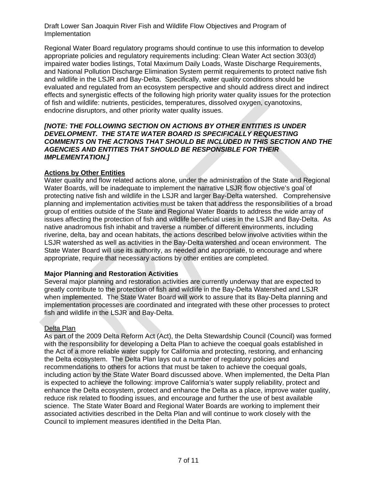Regional Water Board regulatory programs should continue to use this information to develop appropriate policies and regulatory requirements including: Clean Water Act section 303(d) impaired water bodies listings, Total Maximum Daily Loads, Waste Discharge Requirements, and National Pollution Discharge Elimination System permit requirements to protect native fish and wildlife in the LSJR and Bay-Delta. Specifically, water quality conditions should be evaluated and regulated from an ecosystem perspective and should address direct and indirect effects and synergistic effects of the following high priority water quality issues for the protection of fish and wildlife: nutrients, pesticides, temperatures, dissolved oxygen, cyanotoxins, endocrine disruptors, and other priority water quality issues.

#### *[NOTE: THE FOLLOWING SECTION ON ACTIONS BY OTHER ENTITIES IS UNDER DEVELOPMENT. THE STATE WATER BOARD IS SPECIFICALLY REQUESTING COMMENTS ON THE ACTIONS THAT SHOULD BE INCLUDED IN THIS SECTION AND THE AGENCIES AND ENTITIES THAT SHOULD BE RESPONSIBLE FOR THEIR IMPLEMENTATION.]*

# **Actions by Other Entities**

Water quality and flow related actions alone, under the administration of the State and Regional Water Boards, will be inadequate to implement the narrative LSJR flow objective's goal of protecting native fish and wildlife in the LSJR and larger Bay-Delta watershed. Comprehensive planning and implementation activities must be taken that address the responsibilities of a broad group of entities outside of the State and Regional Water Boards to address the wide array of issues affecting the protection of fish and wildlife beneficial uses in the LSJR and Bay-Delta. As native anadromous fish inhabit and traverse a number of different environments, including riverine, delta, bay and ocean habitats, the actions described below involve activities within the LSJR watershed as well as activities in the Bay-Delta watershed and ocean environment. The State Water Board will use its authority, as needed and appropriate, to encourage and where appropriate, require that necessary actions by other entities are completed.

# **Major Planning and Restoration Activities**

Several major planning and restoration activities are currently underway that are expected to greatly contribute to the protection of fish and wildlife in the Bay-Delta Watershed and LSJR when implemented. The State Water Board will work to assure that its Bay-Delta planning and implementation processes are coordinated and integrated with these other processes to protect fish and wildlife in the LSJR and Bay-Delta.

# Delta Plan

As part of the 2009 Delta Reform Act (Act), the Delta Stewardship Council (Council) was formed with the responsibility for developing a Delta Plan to achieve the coequal goals established in the Act of a more reliable water supply for California and protecting, restoring, and enhancing the Delta ecosystem. The Delta Plan lays out a number of regulatory policies and recommendations to others for actions that must be taken to achieve the coequal goals, including action by the State Water Board discussed above. When implemented, the Delta Plan is expected to achieve the following: improve California's water supply reliability, protect and enhance the Delta ecosystem, protect and enhance the Delta as a place, improve water quality, reduce risk related to flooding issues, and encourage and further the use of best available science. The State Water Board and Regional Water Boards are working to implement their associated activities described in the Delta Plan and will continue to work closely with the Council to implement measures identified in the Delta Plan.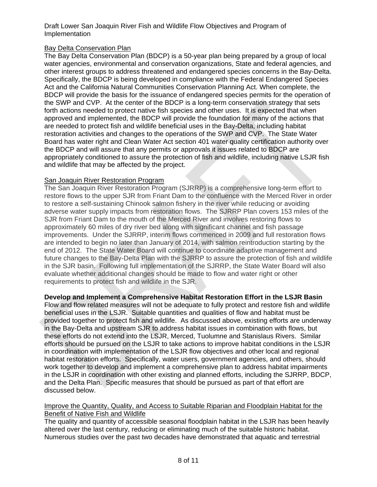# Bay Delta Conservation Plan

The Bay Delta Conservation Plan (BDCP) is a 50-year plan being prepared by a group of local water agencies, environmental and conservation organizations, State and federal agencies, and other interest groups to address threatened and endangered species concerns in the Bay-Delta. Specifically, the BDCP is being developed in compliance with the Federal Endangered Species Act and the California Natural Communities Conservation Planning Act. When complete, the BDCP will provide the basis for the issuance of endangered species permits for the operation of the SWP and CVP. At the center of the BDCP is a long-term conservation strategy that sets forth actions needed to protect native fish species and other uses. It is expected that when approved and implemented, the BDCP will provide the foundation for many of the actions that are needed to protect fish and wildlife beneficial uses in the Bay-Delta, including habitat restoration activities and changes to the operations of the SWP and CVP. The State Water Board has water right and Clean Water Act section 401 water quality certification authority over the BDCP and will assure that any permits or approvals it issues related to BDCP are appropriately conditioned to assure the protection of fish and wildlife, including native LSJR fish and wildlife that may be affected by the project.

# **San Joaquin River Restoration Program**

The San Joaquin River Restoration Program (SJRRP) is a comprehensive long-term effort to restore flows to the upper SJR from Friant Dam to the confluence with the Merced River in order to restore a self-sustaining Chinook salmon fishery in the river while reducing or avoiding adverse water supply impacts from restoration flows. The SJRRP Plan covers 153 miles of the SJR from Friant Dam to the mouth of the Merced River and involves restoring flows to approximately 60 miles of dry river bed along with significant channel and fish passage improvements. Under the SJRRP, interim flows commenced in 2009 and full restoration flows are intended to begin no later than January of 2014, with salmon reintroduction starting by the end of 2012. The State Water Board will continue to coordinate adaptive management and future changes to the Bay-Delta Plan with the SJRRP to assure the protection of fish and wildlife in the SJR basin. Following full implementation of the SJRRP, the State Water Board will also evaluate whether additional changes should be made to flow and water right or other requirements to protect fish and wildlife in the SJR.

# **Develop and Implement a Comprehensive Habitat Restoration Effort in the LSJR Basin**

Flow and flow related measures will not be adequate to fully protect and restore fish and wildlife beneficial uses in the LSJR. Suitable quantities and qualities of flow and habitat must be provided together to protect fish and wildlife. As discussed above, existing efforts are underway in the Bay-Delta and upstream SJR to address habitat issues in combination with flows, but these efforts do not extend into the LSJR, Merced, Tuolumne and Stanislaus Rivers. Similar efforts should be pursued on the LSJR to take actions to improve habitat conditions in the LSJR in coordination with implementation of the LSJR flow objectives and other local and regional habitat restoration efforts. Specifically, water users, government agencies, and others, should work together to develop and implement a comprehensive plan to address habitat impairments in the LSJR in coordination with other existing and planned efforts, including the SJRRP, BDCP, and the Delta Plan. Specific measures that should be pursued as part of that effort are discussed below.

# Improve the Quantity, Quality, and Access to Suitable Riparian and Floodplain Habitat for the Benefit of Native Fish and Wildlife

The quality and quantity of accessible seasonal floodplain habitat in the LSJR has been heavily altered over the last century, reducing or eliminating much of the suitable historic habitat. Numerous studies over the past two decades have demonstrated that aquatic and terrestrial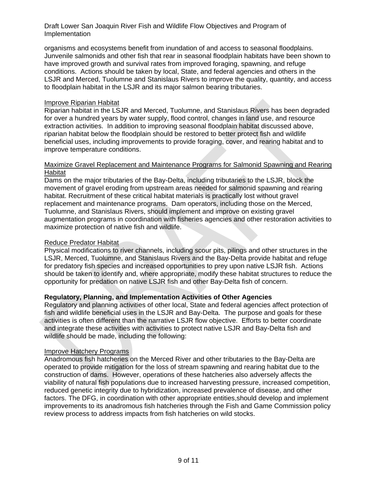organisms and ecosystems benefit from inundation of and access to seasonal floodplains. Junvenile salmonids and other fish that rear in seasonal floodplain habitats have been shown to have improved growth and survival rates from improved foraging, spawning, and refuge conditions. Actions should be taken by local, State, and federal agencies and others in the LSJR and Merced, Tuolumne and Stanislaus Rivers to improve the quality, quantity, and access to floodplain habitat in the LSJR and its major salmon bearing tributaries.

#### Improve Riparian Habitat

Riparian habitat in the LSJR and Merced, Tuolumne, and Stanislaus Rivers has been degraded for over a hundred years by water supply, flood control, changes in land use, and resource extraction activities. In addition to improving seasonal floodplain habitat discussed above, riparian habitat below the floodplain should be restored to better protect fish and wildlife beneficial uses, including improvements to provide foraging, cover, and rearing habitat and to improve temperature conditions.

#### Maximize Gravel Replacement and Maintenance Programs for Salmonid Spawning and Rearing Habitat

Dams on the major tributaries of the Bay-Delta, including tributaries to the LSJR, block the movement of gravel eroding from upstream areas needed for salmonid spawning and rearing habitat. Recruitment of these critical habitat materials is practically lost without gravel replacement and maintenance programs. Dam operators, including those on the Merced, Tuolumne, and Stanislaus Rivers, should implement and improve on existing gravel augmentation programs in coordination with fisheries agencies and other restoration activities to maximize protection of native fish and wildlife.

#### Reduce Predator Habitat

Physical modifications to river channels, including scour pits, pilings and other structures in the LSJR, Merced, Tuolumne, and Stanislaus Rivers and the Bay-Delta provide habitat and refuge for predatory fish species and increased opportunities to prey upon native LSJR fish. Actions should be taken to identify and, where appropriate, modify these habitat structures to reduce the opportunity for predation on native LSJR fish and other Bay-Delta fish of concern.

# **Regulatory, Planning, and Implementation Activities of Other Agencies**

Regulatory and planning activities of other local, State and federal agencies affect protection of fish and wildlife beneficial uses in the LSJR and Bay-Delta. The purpose and goals for these activities is often different than the narrative LSJR flow objective. Efforts to better coordinate and integrate these activities with activities to protect native LSJR and Bay-Delta fish and wildlife should be made, including the following:

# Improve Hatchery Programs

Anadromous fish hatcheries on the Merced River and other tributaries to the Bay-Delta are operated to provide mitigation for the loss of stream spawning and rearing habitat due to the construction of dams. However, operations of these hatcheries also adversely affects the viability of natural fish populations due to increased harvesting pressure, increased competition, reduced genetic integrity due to hybridization, increased prevalence of disease, and other factors. The DFG, in coordination with other appropriate entities,should develop and implement improvements to its anadromous fish hatcheries through the Fish and Game Commission policy review process to address impacts from fish hatcheries on wild stocks.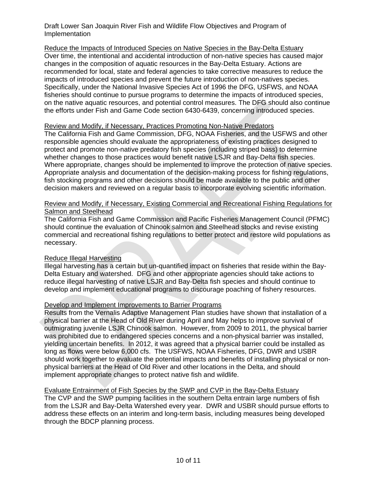Reduce the Impacts of Introduced Species on Native Species in the Bay-Delta Estuary Over time, the intentional and accidental introduction of non-native species has caused major changes in the composition of aquatic resources in the Bay-Delta Estuary. Actions are recommended for local, state and federal agencies to take corrective measures to reduce the impacts of introduced species and prevent the future introduction of non-natives species. Specifically, under the National Invasive Species Act of 1996 the DFG, USFWS, and NOAA fisheries should continue to pursue programs to determine the impacts of introduced species, on the native aquatic resources, and potential control measures. The DFG should also continue the efforts under Fish and Game Code section 6430-6439, concerning introduced species.

#### Review and Modify, if Necessary, Practices Promoting Non-Native Predators

The California Fish and Game Commission, DFG, NOAA Fisheries, and the USFWS and other responsible agencies should evaluate the appropriateness of existing practices designed to protect and promote non-native predatory fish species (including striped bass) to determine whether changes to those practices would benefit native LSJR and Bay-Delta fish species. Where appropriate, changes should be implemented to improve the protection of native species. Appropriate analysis and documentation of the decision-making process for fishing regulations, fish stocking programs and other decisions should be made available to the public and other decision makers and reviewed on a regular basis to incorporate evolving scientific information.

# Review and Modify, if Necessary, Existing Commercial and Recreational Fishing Regulations for Salmon and Steelhead

The California Fish and Game Commission and Pacific Fisheries Management Council (PFMC) should continue the evaluation of Chinook salmon and Steelhead stocks and revise existing commercial and recreational fishing regulations to better protect and restore wild populations as necessary.

# Reduce Illegal Harvesting

Illegal harvesting has a certain but un-quantified impact on fisheries that reside within the Bay-Delta Estuary and watershed. DFG and other appropriate agencies should take actions to reduce illegal harvesting of native LSJR and Bay-Delta fish species and should continue to develop and implement educational programs to discourage poaching of fishery resources.

# Develop and Implement Improvements to Barrier Programs

Results from the Vernalis Adaptive Management Plan studies have shown that installation of a physical barrier at the Head of Old River during April and May helps to improve survival of outmigrating juvenile LSJR Chinook salmon. However, from 2009 to 2011, the physical barrier was prohibited due to endangered species concerns and a non-physical barrier was installed, yielding uncertain benefits. In 2012, it was agreed that a physical barrier could be installed as long as flows were below 6,000 cfs. The USFWS, NOAA Fisheries, DFG, DWR and USBR should work together to evaluate the potential impacts and benefits of installing physical or nonphysical barriers at the Head of Old River and other locations in the Delta, and should implement appropriate changes to protect native fish and wildlife.

Evaluate Entrainment of Fish Species by the SWP and CVP in the Bay-Delta Estuary The CVP and the SWP pumping facilities in the southern Delta entrain large numbers of fish from the LSJR and Bay-Delta Watershed every year. DWR and USBR should pursue efforts to address these effects on an interim and long-term basis, including measures being developed through the BDCP planning process.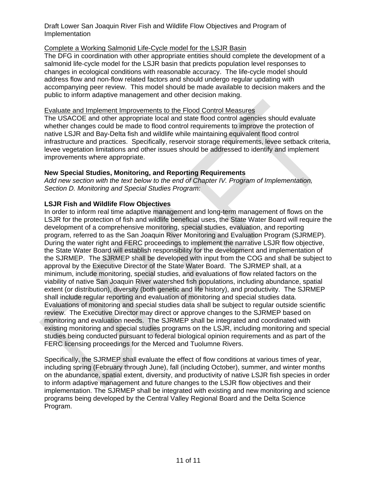# Complete a Working Salmonid Life-Cycle model for the LSJR Basin

The DFG in coordination with other appropriate entities should complete the development of a salmonid life-cycle model for the LSJR basin that predicts population level responses to changes in ecological conditions with reasonable accuracy. The life-cycle model should address flow and non-flow related factors and should undergo regular updating with accompanying peer review. This model should be made available to decision makers and the public to inform adaptive management and other decision making.

# Evaluate and Implement Improvements to the Flood Control Measures

The USACOE and other appropriate local and state flood control agencies should evaluate whether changes could be made to flood control requirements to improve the protection of native LSJR and Bay-Delta fish and wildlife while maintaining equivalent flood control infrastructure and practices. Specifically, reservoir storage requirements, levee setback criteria, levee vegetation limitations and other issues should be addressed to identify and implement improvements where appropriate.

# **New Special Studies, Monitoring, and Reporting Requirements**

*Add new section with the text below to the end of Chapter IV. Program of Implementation, Section D. Monitoring and Special Studies Program:* 

# **LSJR Fish and Wildlife Flow Objectives**

In order to inform real time adaptive management and long-term management of flows on the LSJR for the protection of fish and wildlife beneficial uses, the State Water Board will require the development of a comprehensive monitoring, special studies, evaluation, and reporting program, referred to as the San Joaquin River Monitoring and Evaluation Program (SJRMEP). During the water right and FERC proceedings to implement the narrative LSJR flow objective, the State Water Board will establish responsibility for the development and implementation of the SJRMEP. The SJRMEP shall be developed with input from the COG and shall be subject to approval by the Executive Director of the State Water Board. The SJRMEP shall, at a minimum, include monitoring, special studies, and evaluations of flow related factors on the viability of native San Joaquin River watershed fish populations, including abundance, spatial extent (or distribution), diversity (both genetic and life history), and productivity. The SJRMEP shall include regular reporting and evaluation of monitoring and special studies data. Evaluations of monitoring and special studies data shall be subject to regular outside scientific review. The Executive Director may direct or approve changes to the SJRMEP based on monitoring and evaluation needs. The SJRMEP shall be integrated and coordinated with existing monitoring and special studies programs on the LSJR, including monitoring and special studies being conducted pursuant to federal biological opinion requirements and as part of the FERC licensing proceedings for the Merced and Tuolumne Rivers.

Specifically, the SJRMEP shall evaluate the effect of flow conditions at various times of year, including spring (February through June), fall (including October), summer, and winter months on the abundance, spatial extent, diversity, and productivity of native LSJR fish species in order to inform adaptive management and future changes to the LSJR flow objectives and their implementation. The SJRMEP shall be integrated with existing and new monitoring and science programs being developed by the Central Valley Regional Board and the Delta Science Program.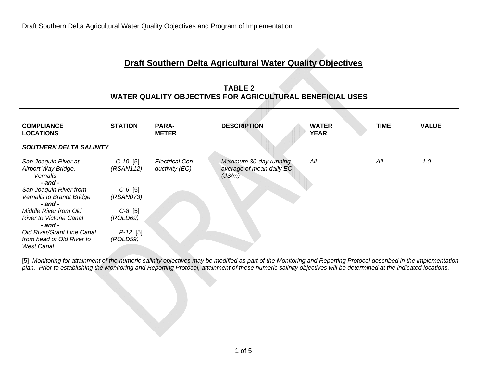# **Draft Southern Delta Agricultural Water Quality Objectives**

| <b>TABLE 2</b><br><b>WATER QUALITY OBJECTIVES FOR AGRICULTURAL BENEFICIAL USES</b>  |                         |                                          |                                                              |                             |             |              |  |  |  |  |  |
|-------------------------------------------------------------------------------------|-------------------------|------------------------------------------|--------------------------------------------------------------|-----------------------------|-------------|--------------|--|--|--|--|--|
| <b>COMPLIANCE</b><br><b>LOCATIONS</b>                                               | <b>STATION</b>          | <b>PARA-</b><br><b>METER</b>             | <b>DESCRIPTION</b>                                           | <b>WATER</b><br><b>YEAR</b> | <b>TIME</b> | <b>VALUE</b> |  |  |  |  |  |
| <b>SOUTHERN DELTA SALINITY</b>                                                      |                         |                                          |                                                              |                             |             |              |  |  |  |  |  |
| San Joaquin River at<br>Airport Way Bridge,<br>Vernalis<br>- and -                  | $C-10$ [5]<br>(RSAN112) | <b>Electrical Con-</b><br>ductivity (EC) | Maximum 30-day running<br>average of mean daily EC<br>(dS/m) | All                         | All         | 1.0          |  |  |  |  |  |
| San Joaquin River from<br>Vernalis to Brandt Bridge<br>- and -                      | $C-6$ [5]<br>(RSAN073)  |                                          |                                                              |                             |             |              |  |  |  |  |  |
| <b>Middle River from Old</b><br>River to Victoria Canal<br>$-$ and $-$              | $C-8$ [5]<br>(ROLD69)   |                                          |                                                              |                             |             |              |  |  |  |  |  |
| <b>Old River/Grant Line Canal</b><br>from head of Old River to<br><b>West Canal</b> | $P-12$ [5]<br>(ROLD59)  |                                          |                                                              |                             |             |              |  |  |  |  |  |

[5] *Monitoring for attainment of the numeric salinity objectives may be modified as part of the Monitoring and Reporting Protocol described in the implementation plan. Prior to establishing the Monitoring and Reporting Protocol, attainment of these numeric salinity objectives will be determined at the indicated locations.*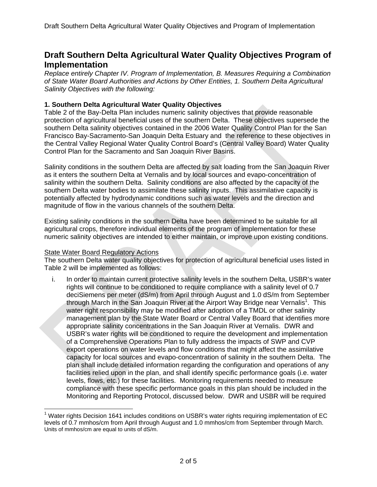# **Draft Southern Delta Agricultural Water Quality Objectives Program of Implementation**

*Replace entirely Chapter IV. Program of Implementation, B. Measures Requiring a Combination of State Water Board Authorities and Actions by Other Entities, 1. Southern Delta Agricultural Salinity Objectives with the following:* 

# **1. Southern Delta Agricultural Water Quality Objectives**

Table 2 of the Bay-Delta Plan includes numeric salinity objectives that provide reasonable protection of agricultural beneficial uses of the southern Delta. These objectives supersede the southern Delta salinity objectives contained in the 2006 Water Quality Control Plan for the San Francisco Bay-Sacramento-San Joaquin Delta Estuary and the reference to these objectives in the Central Valley Regional Water Quality Control Board's (Central Valley Board) Water Quality Control Plan for the Sacramento and San Joaquin River Basins.

Salinity conditions in the southern Delta are affected by salt loading from the San Joaquin River as it enters the southern Delta at Vernalis and by local sources and evapo-concentration of salinity within the southern Delta. Salinity conditions are also affected by the capacity of the southern Delta water bodies to assimilate these salinity inputs. This assimilative capacity is potentially affected by hydrodynamic conditions such as water levels and the direction and magnitude of flow in the various channels of the southern Delta.

Existing salinity conditions in the southern Delta have been determined to be suitable for all agricultural crops, therefore individual elements of the program of implementation for these numeric salinity objectives are intended to either maintain, or improve upon existing conditions.

# State Water Board Regulatory Actions

 $\overline{a}$ 

The southern Delta water quality objectives for protection of agricultural beneficial uses listed in Table 2 will be implemented as follows:

i. In order to maintain current protective salinity levels in the southern Delta, USBR's water rights will continue to be conditioned to require compliance with a salinity level of 0.7 deciSiemens per meter (dS/m) from April through August and 1.0 dS/m from September through March in the San Joaquin River at the Airport Way Bridge near Vernalis<sup>1</sup>. This water right responsibility may be modified after adoption of a TMDL or other salinity management plan by the State Water Board or Central Valley Board that identifies more appropriate salinity concentrations in the San Joaquin River at Vernalis. DWR and USBR's water rights will be conditioned to require the development and implementation of a Comprehensive Operations Plan to fully address the impacts of SWP and CVP export operations on water levels and flow conditions that might affect the assimilative capacity for local sources and evapo-concentration of salinity in the southern Delta. The plan shall include detailed information regarding the configuration and operations of any facilities relied upon in the plan, and shall identify specific performance goals (i.e. water levels, flows, etc.) for these facilities. Monitoring requirements needed to measure compliance with these specific performance goals in this plan should be included in the Monitoring and Reporting Protocol, discussed below. DWR and USBR will be required

<sup>&</sup>lt;sup>1</sup> Water rights Decision 1641 includes conditions on USBR's water rights requiring implementation of EC levels of 0.7 mmhos/cm from April through August and 1.0 mmhos/cm from September through March. Units of mmhos/cm are equal to units of dS/m.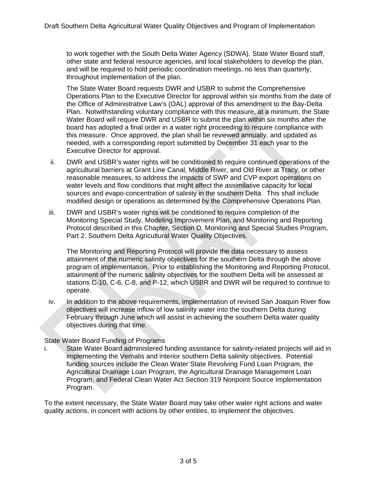to work together with the South Delta Water Agency (SDWA), State Water Board staff, other state and federal resource agencies, and local stakeholders to develop the plan, and will be required to hold periodic coordination meetings, no less than quarterly, throughout implementation of the plan.

The State Water Board requests DWR and USBR to submit the Comprehensive Operations Plan to the Executive Director for approval within six months from the date of the Office of Administrative Law's (OAL) approval of this amendment to the Bay-Delta Plan. Notwithstanding voluntary compliance with this measure, at a minimum, the State Water Board will require DWR and USBR to submit the plan within six months after the board has adopted a final order in a water right proceeding to require compliance with this measure. Once approved, the plan shall be reviewed annually, and updated as needed, with a corresponding report submitted by December 31 each year to the Executive Director for approval.

- ii. DWR and USBR's water rights will be conditioned to require continued operations of the agricultural barriers at Grant Line Canal, Middle River, and Old River at Tracy, or other reasonable measures, to address the impacts of SWP and CVP export operations on water levels and flow conditions that might affect the assimilative capacity for local sources and evapo-concentration of salinity in the southern Delta. This shall include modified design or operations as determined by the Comprehensive Operations Plan.
- iii. DWR and USBR's water rights will be conditioned to require completion of the Monitoring Special Study, Modeling Improvement Plan, and Monitoring and Reporting Protocol described in this Chapter, Section D*.* Monitoring and Special Studies Program, Part 2. Southern Delta Agricultural Water Quality Objectives.

The Monitoring and Reporting Protocol will provide the data necessary to assess attainment of the numeric salinity objectives for the southern Delta through the above program of implementation. Prior to establishing the Monitoring and Reporting Protocol, attainment of the numeric salinity objectives for the southern Delta will be assessed at stations C-10, C-6, C-8, and P-12, which USBR and DWR will be required to continue to operate.

iv. In addition to the above requirements, implementation of revised San Joaquin River flow objectives will increase inflow of low salinity water into the southern Delta during February through June which will assist in achieving the southern Delta water quality objectives during that time.

# State Water Board Funding of Programs

i. State Water Board administered funding assistance for salinity-related projects will aid in implementing the Vernalis and interior southern Delta salinity objectives. Potential funding sources include the Clean Water State Revolving Fund Loan Program, the Agricultural Drainage Loan Program, the Agricultural Drainage Management Loan Program, and Federal Clean Water Act Section 319 Nonpoint Source Implementation Program.

To the extent necessary, the State Water Board may take other water right actions and water quality actions, in concert with actions by other entities, to implement the objectives.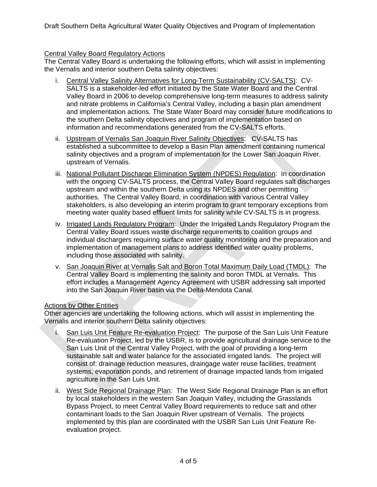# Central Valley Board Regulatory Actions

The Central Valley Board is undertaking the following efforts, which will assist in implementing the Vernalis and interior southern Delta salinity objectives:

- i. Central Valley Salinity Alternatives for Long-Term Sustainability (CV-SALTS): CV-SALTS is a stakeholder-led effort initiated by the State Water Board and the Central Valley Board in 2006 to develop comprehensive long-term measures to address salinity and nitrate problems in California's Central Valley, including a basin plan amendment and implementation actions. The State Water Board may consider future modifications to the southern Delta salinity objectives and program of implementation based on information and recommendations generated from the CV-SALTS efforts.
- ii. Upstream of Vernalis San Joaquin River Salinity Objectives: CV-SALTS has established a subcommittee to develop a Basin Plan amendment containing numerical salinity objectives and a program of implementation for the Lower San Joaquin River. upstream of Vernalis.
- iii. National Pollutant Discharge Elimination System (NPDES) Regulation: In coordination with the ongoing CV-SALTS process, the Central Valley Board regulates salt discharges upstream and within the southern Delta using its NPDES and other permitting authorities. The Central Valley Board, in coordination with various Central Valley stakeholders, is also developing an interim program to grant temporary exceptions from meeting water quality based effluent limits for salinity while CV-SALTS is in progress.
- iv. Irrigated Lands Regulatory Program: Under the Irrigated Lands Regulatory Program the Central Valley Board issues waste discharge requirements to coalition groups and individual dischargers requiring surface water quality monitoring and the preparation and implementation of management plans to address identified water quality problems, including those associated with salinity.
- v. San Joaquin River at Vernalis Salt and Boron Total Maximum Daily Load (TMDL): The Central Valley Board is implementing the salinity and boron TMDL at Vernalis. This effort includes a Management Agency Agreement with USBR addressing salt imported into the San Joaquin River basin via the Delta-Mendota Canal.

# Actions by Other Entities

Other agencies are undertaking the following actions, which will assist in implementing the Vernalis and interior southern Delta salinity objectives:

- San Luis Unit Feature Re-evaluation Project: The purpose of the San Luis Unit Feature Re-evaluation Project, led by the USBR, is to provide agricultural drainage service to the San Luis Unit of the Central Valley Project, with the goal of providing a long-term sustainable salt and water balance for the associated irrigated lands. The project will consist of: drainage reduction measures, draingage water reuse facilities, treatment systems, evaporation ponds, and retirement of drainage impacted lands from irrigated agriculture in the San Luis Unit.
- ii. West Side Regional Drainage Plan: The West Side Regional Drainage Plan is an effort by local stakeholders in the western San Joaquin Valley, including the Grasslands Bypass Project, to meet Central Valley Board requirements to reduce salt and other contaminant loads to the San Joaquin River upstream of Vernalis. The projects implemented by this plan are coordinated with the USBR San Luis Unit Feature Reevaluation project.